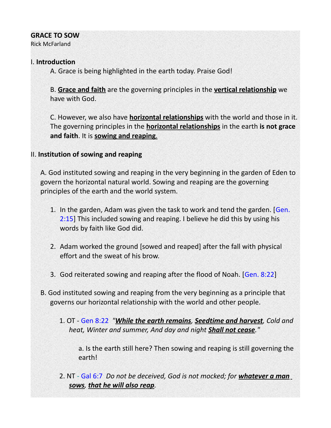### **GRACE TO SOW**

Rick McFarland

### I. **Introduction**

A. Grace is being highlighted in the earth today. Praise God!

B. **Grace and faith** are the governing principles in the **vertical relationship** we have with God.

C. However, we also have **horizontal relationships** with the world and those in it. The governing principles in the **horizontal relationships** in the earth **is not grace and faith**. It is **sowing and reaping** .

### II. **Institution of sowing and reaping**

A. God instituted sowing and reaping in the very beginning in the garden of Eden to govern the horizontal natural world. Sowing and reaping are the governing principles of the earth and the world system.

- 1. In the garden, Adam was given the task to work and tend the garden. [Gen. 2:15] This included sowing and reaping. I believe he did this by using his words by faith like God did.
- 2. Adam worked the ground [sowed and reaped] after the fall with physical effort and the sweat of his brow.
- 3. God reiterated sowing and reaping after the flood of Noah. [Gen. 8:22]
- B. God instituted sowing and reaping from the very beginning as a principle that governs our horizontal relationship with the world and other people.
	- 1. OT Gen 8:22 *"While the earth remains, Seedtime and harvest, Cold and heat, Winter and summer, And day and night Shall not cease."*

a. Is the earth still here? Then sowing and reaping is still governing the earth!

2. NT - Gal 6:7 *Do not be deceived, God is not mocked; for whatever a man sows, that he will also reap.*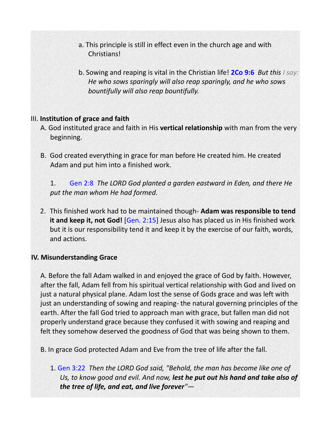- a. This principle is still in effect even in the church age and with Christians!
- b. Sowing and reaping is vital in the Christian life! **2Co 9:6** *But this I say: He who sows sparingly will also reap sparingly, and he who sows bountifully will also reap bountifully.*

#### III. **Institution of grace and faith**

- A. God instituted grace and faith in His **vertical relationship** with man from the very beginning.
- B. God created everything in grace for man before He created him. He created Adam and put him into a finished work.

1. Gen 2:8 *The LORD God planted a garden eastward in Eden, and there He put the man whom He had formed.*

2. This finished work had to be maintained though- **Adam was responsible to tend it and keep it, not God!** [Gen. 2:15] Jesus also has placed us in His finished work but it is our responsibility tend it and keep it by the exercise of our faith, words, and actions.

#### **IV. Misunderstanding Grace**

A. Before the fall Adam walked in and enjoyed the grace of God by faith. However, after the fall, Adam fell from his spiritual vertical relationship with God and lived on just a natural physical plane. Adam lost the sense of Gods grace and was left with just an understanding of sowing and reaping- the natural governing principles of the earth. After the fall God tried to approach man with grace, but fallen man did not properly understand grace because they confused it with sowing and reaping and felt they somehow deserved the goodness of God that was being shown to them.

B. In grace God protected Adam and Eve from the tree of life after the fall.

1. Gen 3:22 *Then the LORD God said, "Behold, the man has become like one of Us, to know good and evil. And now, lest he put out his hand and take also of the tree of life, and eat, and live forever"—*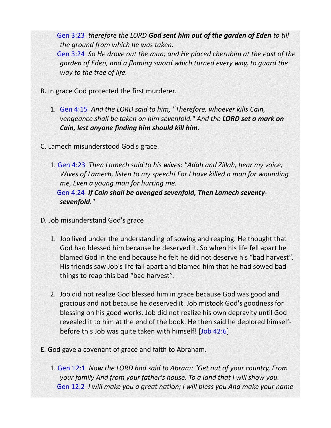Gen 3:23 *therefore the LORD God sent him out of the garden of Eden to till the ground from which he was taken.* 

 Gen 3:24 *So He drove out the man; and He placed cherubim at the east of the garden of Eden, and a flaming sword which turned every way, to guard the way to the tree of life.* 

- B. In grace God protected the first murderer.
	- 1. Gen 4:15 *And the LORD said to him, "Therefore, whoever kills Cain, vengeance shall be taken on him sevenfold." And the LORD set a mark on Cain, lest anyone finding him should kill him.*
- C. Lamech misunderstood God's grace.
	- 1. Gen 4:23 *Then Lamech said to his wives: "Adah and Zillah, hear my voice; Wives of Lamech, listen to my speech! For I have killed a man for wounding me, Even a young man for hurting me.*  Gen 4:24 *If Cain shall be avenged sevenfold, Then Lamech seventysevenfold."*

D. Job misunderstand God's grace

- 1. Job lived under the understanding of sowing and reaping. He thought that God had blessed him because he deserved it. So when his life fell apart he blamed God in the end because he felt he did not deserve his "bad harvest". His friends saw Job's life fall apart and blamed him that he had sowed bad things to reap this bad "bad harvest".
- 2. Job did not realize God blessed him in grace because God was good and gracious and not because he deserved it. Job mistook God's goodness for blessing on his good works. Job did not realize his own depravity until God revealed it to him at the end of the book. He then said he deplored himselfbefore this Job was quite taken with himself! [Job 42:6]
- E. God gave a covenant of grace and faith to Abraham.
	- 1. Gen 12:1 *Now the LORD had said to Abram: "Get out of your country, From your family And from your father's house, To a land that I will show you.*  Gen 12:2 *I will make you a great nation; I will bless you And make your name*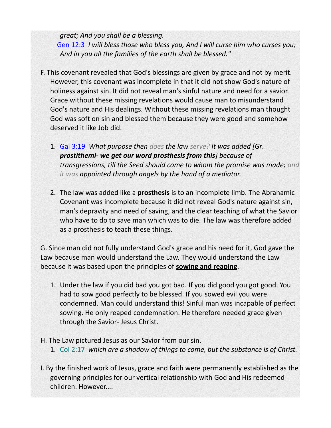*great; And you shall be a blessing.* 

 Gen 12:3 *I will bless those who bless you, And I will curse him who curses you; And in you all the families of the earth shall be blessed."* 

- F. This covenant revealed that God's blessings are given by grace and not by merit. However, this covenant was incomplete in that it did not show God's nature of holiness against sin. It did not reveal man's sinful nature and need for a savior. Grace without these missing revelations would cause man to misunderstand God's nature and His dealings. Without these missing revelations man thought God was soft on sin and blessed them because they were good and somehow deserved it like Job did.
	- 1. Gal 3:19 *What purpose then does the law serve? It was added [Gr. prostithemi- we get our word prosthesis from this] because of transgressions, till the Seed should come to whom the promise was made; and it was appointed through angels by the hand of a mediator.*
	- 2. The law was added like a **prosthesis** is to an incomplete limb. The Abrahamic Covenant was incomplete because it did not reveal God's nature against sin, man's depravity and need of saving, and the clear teaching of what the Savior who have to do to save man which was to die. The law was therefore added as a prosthesis to teach these things.

G. Since man did not fully understand God's grace and his need for it, God gave the Law because man would understand the Law. They would understand the Law because it was based upon the principles of **sowing and reaping**.

- 1. Under the law if you did bad you got bad. If you did good you got good. You had to sow good perfectly to be blessed. If you sowed evil you were condemned. Man could understand this! Sinful man was incapable of perfect sowing. He only reaped condemnation. He therefore needed grace given through the Savior- Jesus Christ.
- H. The Law pictured Jesus as our Savior from our sin.
	- 1. Col 2:17 *which are a shadow of things to come, but the substance is of Christ.*
- I. By the finished work of Jesus, grace and faith were permanently established as the governing principles for our vertical relationship with God and His redeemed children. However....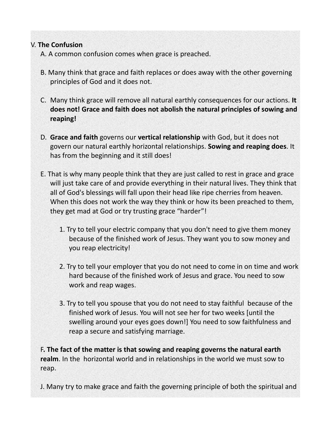# V. **The Confusion**

A. A common confusion comes when grace is preached.

- B. Many think that grace and faith replaces or does away with the other governing principles of God and it does not.
- C. Many think grace will remove all natural earthly consequences for our actions. **It does not! Grace and faith does not abolish the natural principles of sowing and reaping!**
- D. **Grace and faith** governs our **vertical relationship** with God, but it does not govern our natural earthly horizontal relationships. **Sowing and reaping does**. It has from the beginning and it still does!
- E. That is why many people think that they are just called to rest in grace and grace will just take care of and provide everything in their natural lives. They think that all of God's blessings will fall upon their head like ripe cherries from heaven. When this does not work the way they think or how its been preached to them, they get mad at God or try trusting grace "harder"!
	- 1. Try to tell your electric company that you don't need to give them money because of the finished work of Jesus. They want you to sow money and you reap electricity!
	- 2. Try to tell your employer that you do not need to come in on time and work hard because of the finished work of Jesus and grace. You need to sow work and reap wages.
	- 3. Try to tell you spouse that you do not need to stay faithful because of the finished work of Jesus. You will not see her for two weeks [until the swelling around your eyes goes down!] You need to sow faithfulness and reap a secure and satisfying marriage.

F**. The fact of the matter is that sowing and reaping governs the natural earth realm**. In the horizontal world and in relationships in the world we must sow to reap.

J. Many try to make grace and faith the governing principle of both the spiritual and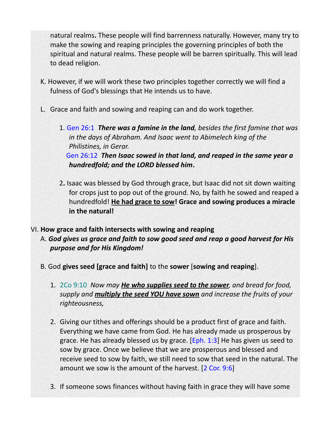natural realms**.** These people will find barrenness naturally. However, many try to make the sowing and reaping principles the governing principles of both the spiritual and natural realms. These people will be barren spiritually. This will lead to dead religion.

- K. However, if we will work these two principles together correctly we will find a fulness of God's blessings that He intends us to have.
- L. Grace and faith and sowing and reaping can and do work together.
	- 1. Gen 26:1 *There was a famine in the land, besides the first famine that was in the days of Abraham. And Isaac went to Abimelech king of the Philistines, in Gerar.*

 Gen 26:12 *Then Isaac sowed in that land, and reaped in the same year a hundredfold; and the LORD blessed him***.** 

2**.** Isaac was blessed by God through grace, but Isaac did not sit down waiting for crops just to pop out of the ground. No, by faith he sowed and reaped a hundredfold! **He had grace to sow! Grace and sowing produces a miracle in the natural!**

# VI. **How grace and faith intersects with sowing and reaping**

A. *God gives us grace and faith to sow good seed and reap a good harvest for His purpose and for His Kingdom!*

- B. God **gives seed [grace and faith]** to the **sower** [**sowing and reaping**].
	- 1. 2Co 9:10 *Now may He who supplies seed to the sower, and bread for food, supply and multiply the seed YOU have sown and increase the fruits of your righteousness,*
	- 2. Giving our tithes and offerings should be a product first of grace and faith. Everything we have came from God. He has already made us prosperous by grace. He has already blessed us by grace. [Eph. 1:3] He has given us seed to sow by grace. Once we believe that we are prosperous and blessed and receive seed to sow by faith, we still need to sow that seed in the natural. The amount we sow is the amount of the harvest. [2 Cor. 9:6]
	- 3. If someone sows finances without having faith in grace they will have some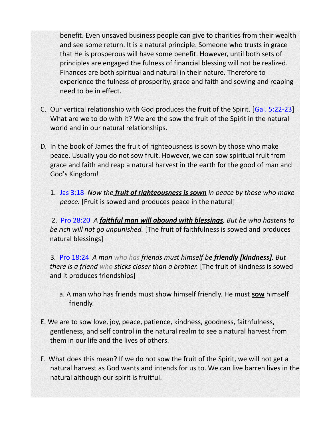benefit. Even unsaved business people can give to charities from their wealth and see some return. It is a natural principle. Someone who trusts in grace that He is prosperous will have some benefit. However, until both sets of principles are engaged the fulness of financial blessing will not be realized. Finances are both spiritual and natural in their nature. Therefore to experience the fulness of prosperity, grace and faith and sowing and reaping need to be in effect.

- C. Our vertical relationship with God produces the fruit of the Spirit. [Gal. 5:22-23] What are we to do with it? We are the sow the fruit of the Spirit in the natural world and in our natural relationships.
- D. In the book of James the fruit of righteousness is sown by those who make peace. Usually you do not sow fruit. However, we can sow spiritual fruit from grace and faith and reap a natural harvest in the earth for the good of man and God's Kingdom!
	- 1. Jas 3:18 *Now the fruit of righteousness is sown in peace by those who make peace.* [Fruit is sowed and produces peace in the natural]

2. Pro 28:20 *A faithful man will abound with blessings, But he who hastens to be rich will not go unpunished.* [The fruit of faithfulness is sowed and produces natural blessings]

3*.* Pro 18:24 *A man who has friends must himself be friendly [kindness], But there is a friend who sticks closer than a brother.* [The fruit of kindness is sowed and it produces friendships]

- a. A man who has friends must show himself friendly. He must **sow** himself friendly.
- E. We are to sow love, joy, peace, patience, kindness, goodness, faithfulness, gentleness, and self control in the natural realm to see a natural harvest from them in our life and the lives of others.
- F. What does this mean? If we do not sow the fruit of the Spirit, we will not get a natural harvest as God wants and intends for us to. We can live barren lives in the natural although our spirit is fruitful.